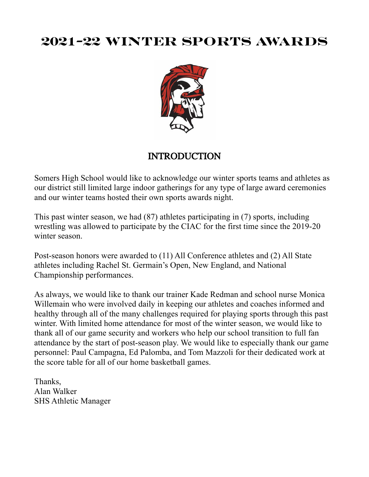# **2021-22 WINTER SPORTS AWARDS**



## INTRODUCTION

Somers High School would like to acknowledge our winter sports teams and athletes as our district still limited large indoor gatherings for any type of large award ceremonies and our winter teams hosted their own sports awards night.

This past winter season, we had (87) athletes participating in (7) sports, including wrestling was allowed to participate by the CIAC for the first time since the 2019-20 winter season.

Post-season honors were awarded to (11) All Conference athletes and (2) All State athletes including Rachel St. Germain's Open, New England, and National Championship performances.

As always, we would like to thank our trainer Kade Redman and school nurse Monica Willemain who were involved daily in keeping our athletes and coaches informed and healthy through all of the many challenges required for playing sports through this past winter. With limited home attendance for most of the winter season, we would like to thank all of our game security and workers who help our school transition to full fan attendance by the start of post-season play. We would like to especially thank our game personnel: Paul Campagna, Ed Palomba, and Tom Mazzoli for their dedicated work at the score table for all of our home basketball games.

Thanks, Alan Walker SHS Athletic Manager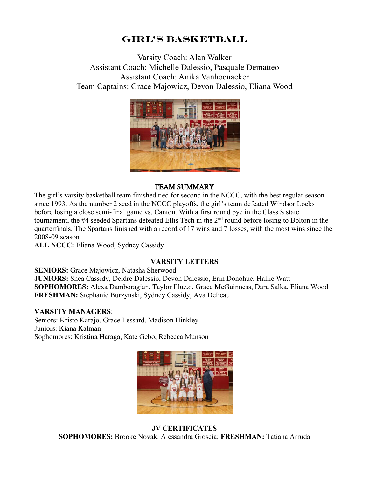## **Girl's BASKETBALL**

Varsity Coach: Alan Walker Assistant Coach: Michelle Dalessio, Pasquale Dematteo Assistant Coach: Anika Vanhoenacker Team Captains: Grace Majowicz, Devon Dalessio, Eliana Wood



#### TEAM SUMMARY

The girl's varsity basketball team finished tied for second in the NCCC, with the best regular season since 1993. As the number 2 seed in the NCCC playoffs, the girl's team defeated Windsor Locks before losing a close semi-final game vs. Canton. With a first round bye in the Class S state tournament, the #4 seeded Spartans defeated Ellis Tech in the 2<sup>nd</sup> round before losing to Bolton in the quarterfinals. The Spartans finished with a record of 17 wins and 7 losses, with the most wins since the 2008-09 season.

**ALL NCCC:** Eliana Wood, Sydney Cassidy

### **VARSITY LETTERS**

**SENIORS:** Grace Majowicz, Natasha Sherwood **JUNIORS:** Shea Cassidy, Deidre Dalessio, Devon Dalessio, Erin Donohue, Hallie Watt **SOPHOMORES:** Alexa Damboragian, Taylor Illuzzi, Grace McGuinness, Dara Salka, Eliana Wood **FRESHMAN:** Stephanie Burzynski, Sydney Cassidy, Ava DePeau

#### **VARSITY MANAGERS**:

Seniors: Kristo Karajo, Grace Lessard, Madison Hinkley Juniors: Kiana Kalman Sophomores: Kristina Haraga, Kate Gebo, Rebecca Munson



 **JV CERTIFICATES SOPHOMORES:** Brooke Novak. Alessandra Gioscia; **FRESHMAN:** Tatiana Arruda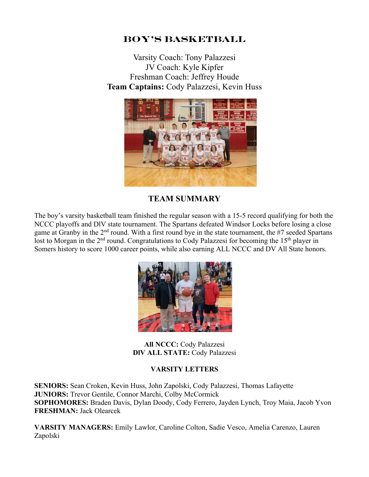## **BOY'S BASKETBALL**

Varsity Coach: Tony Palazzesi JV Coach: Kyle Kipfer Freshman Coach: Jeffrey Houde **Team Captains:** Cody Palazzesi, Kevin Huss



## **TEAM SUMMARY**

The boy's varsity basketball team finished the regular season with a 15-5 record qualifying for both the NCCC playoffs and DlV state tournament. The Spartans defeated Windsor Locks before losing a close game at Granby in the 2nd round. With a first round bye in the state tournament, the #7 seeded Spartans lost to Morgan in the 2<sup>nd</sup> round. Congratulations to Cody Palazzesi for becoming the 15<sup>th</sup> player in Somers history to score 1000 career points, while also earning ALL NCCC and DV All State honors.



**All NCCC:** Cody Palazzesi **DlV ALL STATE:** Cody Palazzesi

### **VARSITY LETTERS**

**SENIORS:** Sean Croken, Kevin Huss, John Zapolski, Cody Palazzesi, Thomas Lafayette **JUNIORS:** Trevor Gentile, Connor Marchi, Colby McCormick **SOPHOMORES:** Braden Davis, Dylan Doody, Cody Ferrero, Jayden Lynch, Troy Maia, Jacob Yvon **FRESHMAN:** Jack Olearcek

**VARSITY MANAGERS:** Emily Lawlor, Caroline Colton, Sadie Vesco, Amelia Carenzo, Lauren Zapolski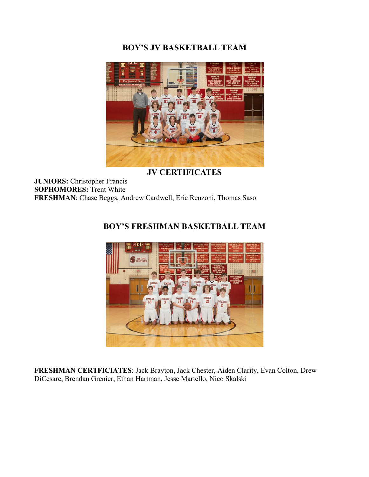## **BOY'S JV BASKETBALL TEAM**



**JV CERTIFICATES**

**JUNIORS:** Christopher Francis **SOPHOMORES:** Trent White **FRESHMAN**: Chase Beggs, Andrew Cardwell, Eric Renzoni, Thomas Saso

## **BOY'S FRESHMAN BASKETBALL TEAM**



**FRESHMAN CERTFICIATES**: Jack Brayton, Jack Chester, Aiden Clarity, Evan Colton, Drew DiCesare, Brendan Grenier, Ethan Hartman, Jesse Martello, Nico Skalski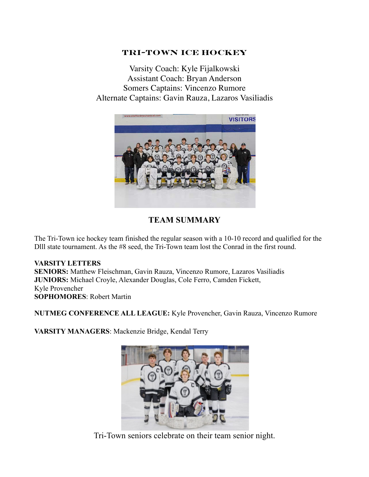### **TRI-tOWN ICE HOCKEY**

Varsity Coach: Kyle Fijalkowski Assistant Coach: Bryan Anderson Somers Captains: Vincenzo Rumore Alternate Captains: Gavin Rauza, Lazaros Vasiliadis



## **TEAM SUMMARY**

The Tri-Town ice hockey team finished the regular season with a 10-10 record and qualified for the Dlll state tournament. As the #8 seed, the Tri-Town team lost the Conrad in the first round.

### **VARSITY LETTERS**

**SENIORS:** Matthew Fleischman, Gavin Rauza, Vincenzo Rumore, Lazaros Vasiliadis **JUNIORS:** Michael Croyle, Alexander Douglas, Cole Ferro, Camden Fickett, Kyle Provencher **SOPHOMORES**: Robert Martin

**NUTMEG CONFERENCE ALL LEAGUE:** Kyle Provencher, Gavin Rauza, Vincenzo Rumore

**VARSITY MANAGERS**: Mackenzie Bridge, Kendal Terry



Tri-Town seniors celebrate on their team senior night.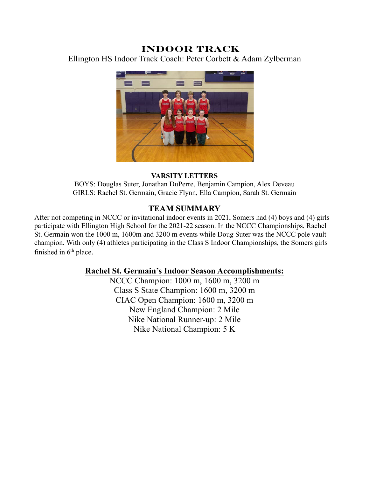## **INDOOR TRACK**

Ellington HS Indoor Track Coach: Peter Corbett & Adam Zylberman



#### **VARSITY LETTERS**

BOYS: Douglas Suter, Jonathan DuPerre, Benjamin Campion, Alex Deveau GIRLS: Rachel St. Germain, Gracie Flynn, Ella Campion, Sarah St. Germain

### **TEAM SUMMARY**

After not competing in NCCC or invitational indoor events in 2021, Somers had (4) boys and (4) girls participate with Ellington High School for the 2021-22 season. In the NCCC Championships, Rachel St. Germain won the 1000 m, 1600m and 3200 m events while Doug Suter was the NCCC pole vault champion. With only (4) athletes participating in the Class S Indoor Championships, the Somers girls finished in  $6<sup>th</sup>$  place.

#### **Rachel St. Germain's Indoor Season Accomplishments:**

NCCC Champion: 1000 m, 1600 m, 3200 m Class S State Champion: 1600 m, 3200 m CIAC Open Champion: 1600 m, 3200 m New England Champion: 2 Mile Nike National Runner-up: 2 Mile Nike National Champion: 5 K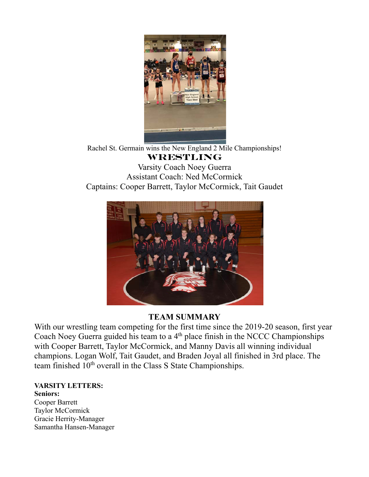

Rachel St. Germain wins the New England 2 Mile Championships! **WRESTLING**

Varsity Coach Noey Guerra Assistant Coach: Ned McCormick Captains: Cooper Barrett, Taylor McCormick, Tait Gaudet



## **TEAM SUMMARY**

With our wrestling team competing for the first time since the 2019-20 season, first year Coach Noey Guerra guided his team to a 4<sup>th</sup> place finish in the NCCC Championships with Cooper Barrett, Taylor McCormick, and Manny Davis all winning individual champions. Logan Wolf, Tait Gaudet, and Braden Joyal all finished in 3rd place. The team finished 10<sup>th</sup> overall in the Class S State Championships.

**VARSITY LETTERS: Seniors:** Cooper Barrett Taylor McCormick Gracie Herrity-Manager

Samantha Hansen-Manager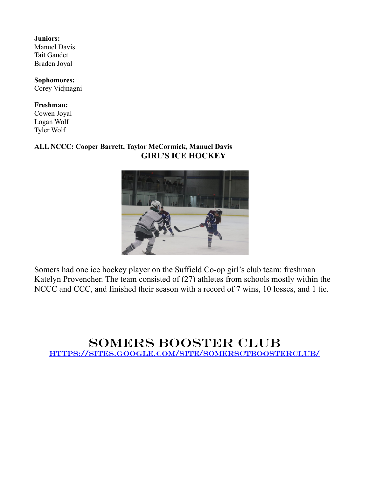**Juniors:** Manuel Davis Tait Gaudet Braden Joyal

**Sophomores:** Corey Vidjnagni

#### **Freshman:**

Cowen Joyal Logan Wolf Tyler Wolf

### **ALL NCCC: Cooper Barrett, Taylor McCormick, Manuel Davis GIRL'S ICE HOCKEY**



Somers had one ice hockey player on the Suffield Co-op girl's club team: freshman Katelyn Provencher. The team consisted of (27) athletes from schools mostly within the NCCC and CCC, and finished their season with a record of 7 wins, 10 losses, and 1 tie.

## Somers BOOSTER CLUB https://sites.google.com/site/somersctboosterclub/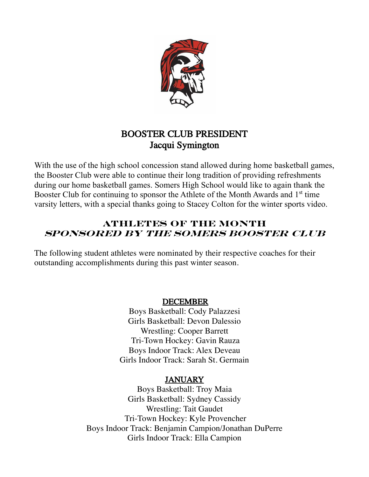

## BOOSTER CLUB PRESIDENT Jacqui Symington

With the use of the high school concession stand allowed during home basketball games, the Booster Club were able to continue their long tradition of providing refreshments during our home basketball games. Somers High School would like to again thank the Booster Club for continuing to sponsor the Athlete of the Month Awards and 1<sup>st</sup> time varsity letters, with a special thanks going to Stacey Colton for the winter sports video.

## **ATHLETES of the MONTH Sponsored by the Somers booster club**

The following student athletes were nominated by their respective coaches for their outstanding accomplishments during this past winter season.

## DECEMBER

Boys Basketball: Cody Palazzesi Girls Basketball: Devon Dalessio Wrestling: Cooper Barrett Tri-Town Hockey: Gavin Rauza Boys Indoor Track: Alex Deveau Girls Indoor Track: Sarah St. Germain

## JANUARY

Boys Basketball: Troy Maia Girls Basketball: Sydney Cassidy Wrestling: Tait Gaudet Tri-Town Hockey: Kyle Provencher Boys Indoor Track: Benjamin Campion/Jonathan DuPerre Girls Indoor Track: Ella Campion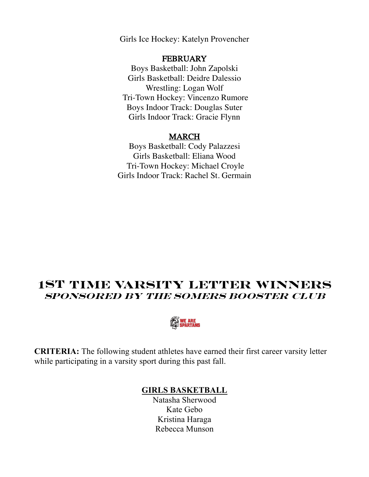Girls Ice Hockey: Katelyn Provencher

#### **FEBRUARY**

Boys Basketball: John Zapolski Girls Basketball: Deidre Dalessio Wrestling: Logan Wolf Tri-Town Hockey: Vincenzo Rumore Boys Indoor Track: Douglas Suter Girls Indoor Track: Gracie Flynn

#### MARCH

Boys Basketball: Cody Palazzesi Girls Basketball: Eliana Wood Tri-Town Hockey: Michael Croyle Girls Indoor Track: Rachel St. Germain

## **1st TIME VARSITY LETTER WINNERS SPONSORED BY THE SOMERS BOOSTER CLUB**



**CRITERIA:** The following student athletes have earned their first career varsity letter while participating in a varsity sport during this past fall.

## **GIRLS BASKETBALL**

Natasha Sherwood Kate Gebo Kristina Haraga Rebecca Munson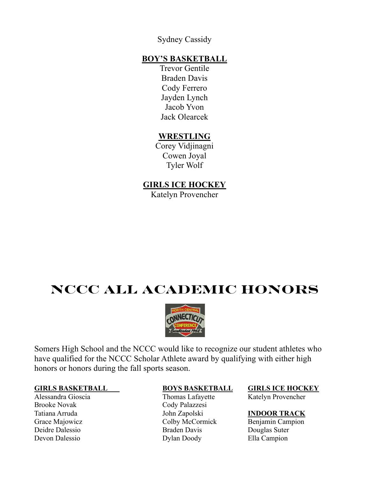Sydney Cassidy

### **BOY'S BASKETBALL**

Trevor Gentile Braden Davis Cody Ferrero Jayden Lynch Jacob Yvon Jack Olearcek

## **WRESTLING**

Corey Vidjinagni Cowen Joyal Tyler Wolf

## **GIRLS ICE HOCKEY**

Katelyn Provencher

# **NCCC ALL ACADEMIC HONORS**



Somers High School and the NCCC would like to recognize our student athletes who have qualified for the NCCC Scholar Athlete award by qualifying with either high honors or honors during the fall sports season.

#### **GIRLS BASKETBALL BOYS BASKETBALL GIRLS ICE HOCKEY**

Brooke Novak Cody Palazzesi

Alessandra Gioscia Thomas Lafayette Katelyn Provencher Tatiana Arruda John Zapolski **INDOOR TRACK** Grace Majowicz Colby McCormick Benjamin Campion Deidre Dalessio Braden Davis Douglas Suter Devon Dalessio Dylan Doody Ella Campion